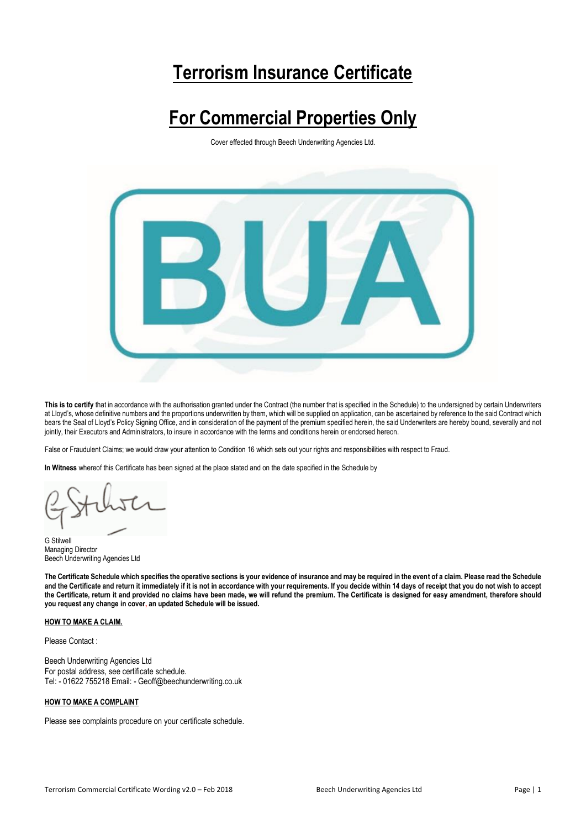# **Terrorism Insurance Certificate**

# **For Commercial Properties Only**

Cover effected through Beech Underwriting Agencies Ltd.



**This is to certify** that in accordance with the authorisation granted under the Contract (the number that is specified in the Schedule) to the undersigned by certain Underwriters at Lloyd's, whose definitive numbers and the proportions underwritten by them, which will be supplied on application, can be ascertained by reference to the said Contract which bears the Seal of Lloyd's Policy Signing Office, and in consideration of the payment of the premium specified herein, the said Underwriters are hereby bound, severally and not jointly, their Executors and Administrators, to insure in accordance with the terms and conditions herein or endorsed hereon.

False or Fraudulent Claims; we would draw your attention to Condition 16 which sets out your rights and responsibilities with respect to Fraud.

**In Witness** whereof this Certificate has been signed at the place stated and on the date specified in the Schedule by

G Stilwell Managing Director Beech Underwriting Agencies Ltd

**The Certificate Schedule which specifies the operative sections is your evidence of insurance and may be required in the event of a claim. Please read the Schedule and the Certificate and return it immediately if it is not in accordance with your requirements. If you decide within 14 days of receipt that you do not wish to accept the Certificate, return it and provided no claims have been made, we will refund the premium. The Certificate is designed for easy amendment, therefore should you request any change in cover, an updated Schedule will be issued.**

# **HOW TO MAKE A CLAIM.**

Please Contact :

Beech Underwriting Agencies Ltd For postal address, see certificate schedule. Tel: - 01622 755218 Email: - Geoff@beechunderwriting.co.uk

#### **HOW TO MAKE A COMPLAINT**

Please see complaints procedure on your certificate schedule.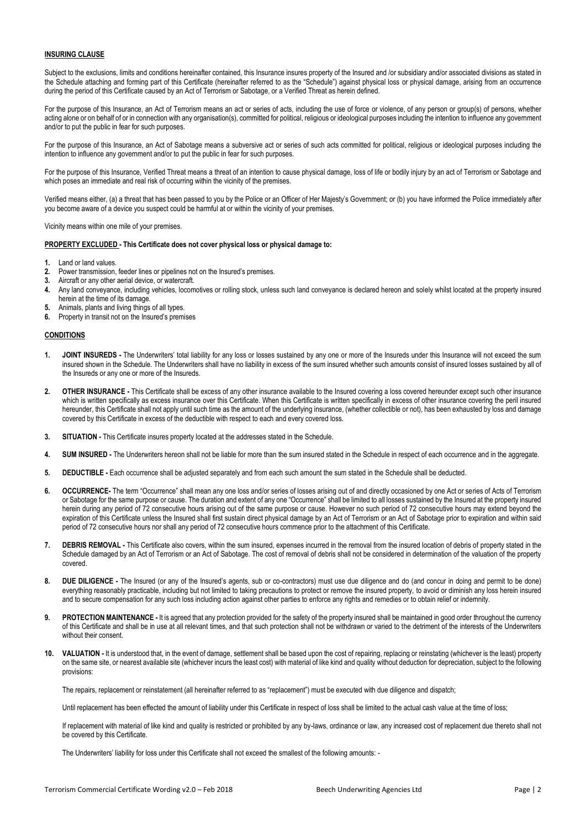#### **INSURING CLAUSE**

Subject to the exclusions, limits and conditions hereinafter contained, this Insurance insures property of the Insured and /or subsidiary and/or associated divisions as stated in the Schedule attaching and forming part of this Certificate (hereinafter referred to as the "Schedule") against physical loss or physical damage, arising from an occurrence during the period of this Certificate caused by an Act of Terrorism or Sabotage, or a Verified Threat as herein defined.

For the purpose of this Insurance, an Act of Terrorism means an act or series of acts, including the use of force or violence, of any person or group(s) of persons, whether acting alone or on behalf of or in connection with any organisation(s), committed for political, religious or ideological purposes including the intention to influence any government and/or to put the public in fear for such purposes.

For the purpose of this Insurance, an Act of Sabotage means a subversive act or series of such acts committed for political, religious or ideological purposes including the intention to influence any government and/or to put the public in fear for such purposes.

For the purpose of this Insurance, Verified Threat means a threat of an intention to cause physical damage, loss of life or bodily injury by an act of Terrorism or Sabotage and which poses an immediate and real risk of occurring within the vicinity of the premises.

Verified means either, (a) a threat that has been passed to you by the Police or an Officer of Her Majesty's Government; or (b) you have informed the Police immediately after you become aware of a device you suspect could be harmful at or within the vicinity of your premises.

Vicinity means within one mile of your premises.

#### **PROPERTY EXCLUDED - This Certificate does not cover physical loss or physical damage to:**

- **1.** Land or land values.
- **2.** Power transmission, feeder lines or pipelines not on the Insured's premises.
- **3.** Aircraft or any other aerial device, or watercraft.
- **4.** Any land conveyance, including vehicles, locomotives or rolling stock, unless such land conveyance is declared hereon and solely whilst located at the property insured herein at the time of its damage.
- **5.** Animals, plants and living things of all types.
- **6.** Property in transit not on the Insured's premises

## **CONDITIONS**

- **1. JOINT INSUREDS -** The Underwriters' total liability for any loss or losses sustained by any one or more of the Insureds under this Insurance will not exceed the sum insured shown in the Schedule. The Underwriters shall have no liability in excess of the sum insured whether such amounts consist of insured losses sustained by all of the Insureds or any one or more of the Insureds.
- **2. OTHER INSURANCE -** This Certificate shall be excess of any other insurance available to the Insured covering a loss covered hereunder except such other insurance which is written specifically as excess insurance over this Certificate. When this Certificate is written specifically in excess of other insurance covering the peril insured hereunder, this Certificate shall not apply until such time as the amount of the underlying insurance, (whether collectible or not), has been exhausted by loss and damage covered by this Certificate in excess of the deductible with respect to each and every covered loss.
- **3. SITUATION -** This Certificate insures property located at the addresses stated in the Schedule.
- **4. SUM INSURED -** The Underwriters hereon shall not be liable for more than the sum insured stated in the Schedule in respect of each occurrence and in the aggregate.
- **5. DEDUCTIBLE -** Each occurrence shall be adjusted separately and from each such amount the sum stated in the Schedule shall be deducted.
- **6. OCCURRENCE-** The term "Occurrence" shall mean any one loss and/or series of losses arising out of and directly occasioned by one Act or series of Acts of Terrorism or Sabotage for the same purpose or cause. The duration and extent of any one "Occurrence" shall be limited to all losses sustained by the Insured at the property insured herein during any period of 72 consecutive hours arising out of the same purpose or cause. However no such period of 72 consecutive hours may extend beyond the expiration of this Certificate unless the Insured shall first sustain direct physical damage by an Act of Terrorism or an Act of Sabotage prior to expiration and within said period of 72 consecutive hours nor shall any period of 72 consecutive hours commence prior to the attachment of this Certificate.
- **7. DEBRIS REMOVAL -** This Certificate also covers, within the sum insured, expenses incurred in the removal from the insured location of debris of property stated in the Schedule damaged by an Act of Terrorism or an Act of Sabotage. The cost of removal of debris shall not be considered in determination of the valuation of the property covered.
- **8. DUE DILIGENCE -** The Insured (or any of the Insured's agents, sub or co-contractors) must use due diligence and do (and concur in doing and permit to be done) everything reasonably practicable, including but not limited to taking precautions to protect or remove the insured property, to avoid or diminish any loss herein insured and to secure compensation for any such loss including action against other parties to enforce any rights and remedies or to obtain relief or indemnity.
- **9. PROTECTION MAINTENANCE -** It is agreed that any protection provided for the safety of the property insured shall be maintained in good order throughout the currency of this Certificate and shall be in use at all relevant times, and that such protection shall not be withdrawn or varied to the detriment of the interests of the Underwriters without their consent.
- **10. VALUATION -** It is understood that, in the event of damage, settlement shall be based upon the cost of repairing, replacing or reinstating (whichever is the least) property on the same site, or nearest available site (whichever incurs the least cost) with material of like kind and quality without deduction for depreciation, subject to the following provisions:

The repairs, replacement or reinstatement (all hereinafter referred to as "replacement") must be executed with due diligence and dispatch;

Until replacement has been effected the amount of liability under this Certificate in respect of loss shall be limited to the actual cash value at the time of loss;

If replacement with material of like kind and quality is restricted or prohibited by any by-laws, ordinance or law, any increased cost of replacement due thereto shall not be covered by this Certificate.

The Underwriters' liability for loss under this Certificate shall not exceed the smallest of the following amounts: -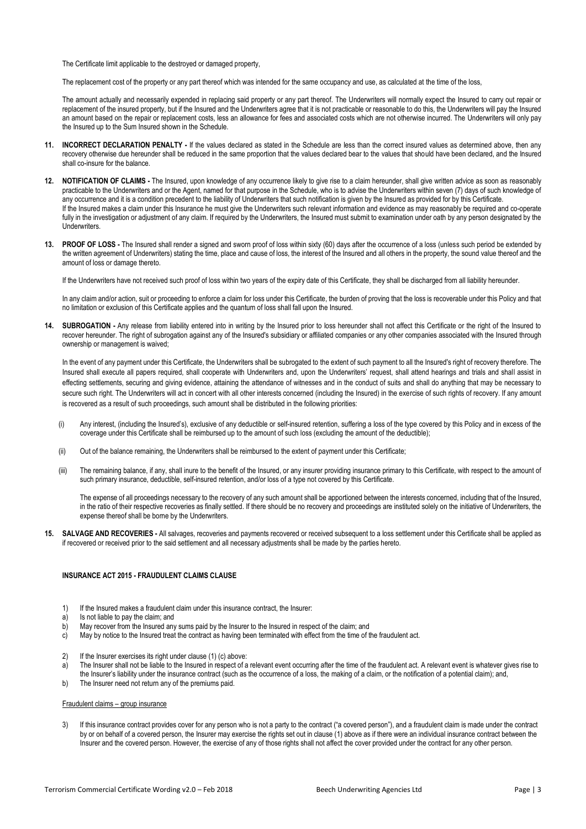The Certificate limit applicable to the destroyed or damaged property,

The replacement cost of the property or any part thereof which was intended for the same occupancy and use, as calculated at the time of the loss,

The amount actually and necessarily expended in replacing said property or any part thereof. The Underwriters will normally expect the Insured to carry out repair or replacement of the insured property, but if the Insured and the Underwriters agree that it is not practicable or reasonable to do this, the Underwriters will pay the Insured an amount based on the repair or replacement costs, less an allowance for fees and associated costs which are not otherwise incurred. The Underwriters will only pay the Insured up to the Sum Insured shown in the Schedule.

- **11. INCORRECT DECLARATION PENALTY -** If the values declared as stated in the Schedule are less than the correct insured values as determined above, then any recovery otherwise due hereunder shall be reduced in the same proportion that the values declared bear to the values that should have been declared, and the Insured shall co-insure for the balance.
- **12. NOTIFICATION OF CLAIMS -** The Insured, upon knowledge of any occurrence likely to give rise to a claim hereunder, shall give written advice as soon as reasonably practicable to the Underwriters and or the Agent, named for that purpose in the Schedule, who is to advise the Underwriters within seven (7) days of such knowledge of any occurrence and it is a condition precedent to the liability of Underwriters that such notification is given by the Insured as provided for by this Certificate. If the Insured makes a claim under this Insurance he must give the Underwriters such relevant information and evidence as may reasonably be required and co-operate fully in the investigation or adjustment of any claim. If required by the Underwriters, the Insured must submit to examination under oath by any person designated by the Underwriters.
- **13. PROOF OF LOSS -** The Insured shall render a signed and sworn proof of loss within sixty (60) days after the occurrence of a loss (unless such period be extended by the written agreement of Underwriters) stating the time, place and cause of loss, the interest of the Insured and all others in the property, the sound value thereof and the amount of loss or damage thereto.

If the Underwriters have not received such proof of loss within two years of the expiry date of this Certificate, they shall be discharged from all liability hereunder.

In any claim and/or action, suit or proceeding to enforce a claim for loss under this Certificate, the burden of proving that the loss is recoverable under this Policy and that no limitation or exclusion of this Certificate applies and the quantum of loss shall fall upon the Insured.

**14. SUBROGATION -** Any release from liability entered into in writing by the Insured prior to loss hereunder shall not affect this Certificate or the right of the Insured to recover hereunder. The right of subrogation against any of the Insured's subsidiary or affiliated companies or any other companies associated with the Insured through ownership or management is waived;

In the event of any payment under this Certificate, the Underwriters shall be subrogated to the extent of such payment to all the Insured's right of recovery therefore. The Insured shall execute all papers required, shall cooperate with Underwriters and, upon the Underwriters' request, shall attend hearings and trials and shall assist in effecting settlements, securing and giving evidence, attaining the attendance of witnesses and in the conduct of suits and shall do anything that may be necessary to secure such right. The Underwriters will act in concert with all other interests concerned (including the Insured) in the exercise of such rights of recovery. If any amount is recovered as a result of such proceedings, such amount shall be distributed in the following priorities:

- (i) Any interest, (including the Insured's), exclusive of any deductible or self-insured retention, suffering a loss of the type covered by this Policy and in excess of the coverage under this Certificate shall be reimbursed up to the amount of such loss (excluding the amount of the deductible);
- (ii) Out of the balance remaining, the Underwriters shall be reimbursed to the extent of payment under this Certificate;
- (iii) The remaining balance, if any, shall inure to the benefit of the Insured, or any insurer providing insurance primary to this Certificate, with respect to the amount of such primary insurance, deductible, self-insured retention, and/or loss of a type not covered by this Certificate.

The expense of all proceedings necessary to the recovery of any such amount shall be apportioned between the interests concerned, including that of the Insured, in the ratio of their respective recoveries as finally settled. If there should be no recovery and proceedings are instituted solely on the initiative of Underwriters, the expense thereof shall be borne by the Underwriters.

**15. SALVAGE AND RECOVERIES -** All salvages, recoveries and payments recovered or received subsequent to a loss settlement under this Certificate shall be applied as if recovered or received prior to the said settlement and all necessary adjustments shall be made by the parties hereto.

# **INSURANCE ACT 2015 - FRAUDULENT CLAIMS CLAUSE**

- 1) If the Insured makes a fraudulent claim under this insurance contract, the Insurer:
- a) Is not liable to pay the claim; and
- b) May recover from the Insured any sums paid by the Insurer to the Insured in respect of the claim; and
- c) May by notice to the Insured treat the contract as having been terminated with effect from the time of the fraudulent act.
- 2) If the Insurer exercises its right under clause (1) (c) above:
- a) The Insurer shall not be liable to the Insured in respect of a relevant event occurring after the time of the fraudulent act. A relevant event is whatever gives rise to
- the Insurer's liability under the insurance contract (such as the occurrence of a loss, the making of a claim, or the notification of a potential claim); and,
- b) The Insurer need not return any of the premiums paid.

# Fraudulent claims – group insurance

3) If this insurance contract provides cover for any person who is not a party to the contract ("a covered person"), and a fraudulent claim is made under the contract by or on behalf of a covered person, the Insurer may exercise the rights set out in clause (1) above as if there were an individual insurance contract between the Insurer and the covered person. However, the exercise of any of those rights shall not affect the cover provided under the contract for any other person.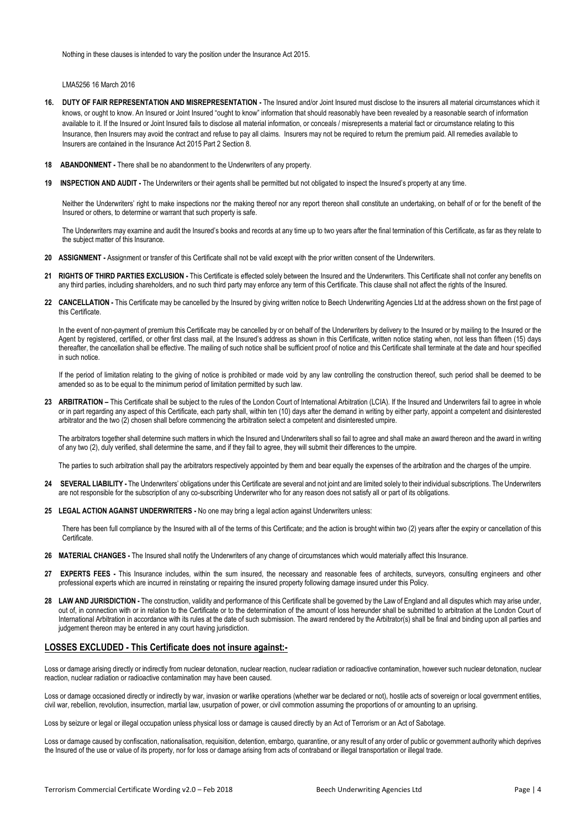Nothing in these clauses is intended to vary the position under the Insurance Act 2015.

LMA5256 16 March 2016

- **16. DUTY OF FAIR REPRESENTATION AND MISREPRESENTATION -** The Insured and/or Joint Insured must disclose to the insurers all material circumstances which it knows, or ought to know. An Insured or Joint Insured "ought to know" information that should reasonably have been revealed by a reasonable search of information available to it. If the Insured or Joint Insured fails to disclose all material information, or conceals / misrepresents a material fact or circumstance relating to this Insurance, then Insurers may avoid the contract and refuse to pay all claims. Insurers may not be required to return the premium paid. All remedies available to Insurers are contained in the Insurance Act 2015 Part 2 Section 8.
- **18 ABANDONMENT -** There shall be no abandonment to the Underwriters of any property.
- **19 INSPECTION AND AUDIT -** The Underwriters or their agents shall be permitted but not obligated to inspect the Insured's property at any time.

Neither the Underwriters' right to make inspections nor the making thereof nor any report thereon shall constitute an undertaking, on behalf of or for the benefit of the Insured or others, to determine or warrant that such property is safe.

The Underwriters may examine and audit the Insured's books and records at any time up to two years after the final termination of this Certificate, as far as they relate to the subject matter of this Insurance.

- **20 ASSIGNMENT -** Assignment or transfer of this Certificate shall not be valid except with the prior written consent of the Underwriters.
- **21 RIGHTS OF THIRD PARTIES EXCLUSION -** This Certificate is effected solely between the Insured and the Underwriters. This Certificate shall not confer any benefits on any third parties, including shareholders, and no such third party may enforce any term of this Certificate. This clause shall not affect the rights of the Insured.
- 22 **CANCELLATION** This Certificate may be cancelled by the Insured by giving written notice to Beech Underwriting Agencies Ltd at the address shown on the first page of this Certificate.

In the event of non-payment of premium this Certificate may be cancelled by or on behalf of the Underwriters by delivery to the Insured or by mailing to the Insured or the Agent by registered, certified, or other first class mail, at the Insured's address as shown in this Certificate, written notice stating when, not less than fifteen (15) days thereafter, the cancellation shall be effective. The mailing of such notice shall be sufficient proof of notice and this Certificate shall terminate at the date and hour specified in such notice.

 If the period of limitation relating to the giving of notice is prohibited or made void by any law controlling the construction thereof, such period shall be deemed to be amended so as to be equal to the minimum period of limitation permitted by such law.

**23 ARBITRATION –** This Certificate shall be subject to the rules of the London Court of International Arbitration (LCIA). If the Insured and Underwriters fail to agree in whole or in part regarding any aspect of this Certificate, each party shall, within ten (10) days after the demand in writing by either party, appoint a competent and disinterested arbitrator and the two (2) chosen shall before commencing the arbitration select a competent and disinterested umpire.

The arbitrators together shall determine such matters in which the Insured and Underwriters shall so fail to agree and shall make an award thereon and the award in writing of any two (2), duly verified, shall determine the same, and if they fail to agree, they will submit their differences to the umpire.

The parties to such arbitration shall pay the arbitrators respectively appointed by them and bear equally the expenses of the arbitration and the charges of the umpire.

- 24 **SEVERAL LIABILITY** The Underwriters' obligations under this Certificate are several and not joint and are limited solely to their individual subscriptions. The Underwriters are not responsible for the subscription of any co-subscribing Underwriter who for any reason does not satisfy all or part of its obligations.
- **25 LEGAL ACTION AGAINST UNDERWRITERS -** No one may bring a legal action against Underwriters unless:

There has been full compliance by the Insured with all of the terms of this Certificate; and the action is brought within two (2) years after the expiry or cancellation of this Certificate.

- **26 MATERIAL CHANGES -** The Insured shall notify the Underwriters of any change of circumstances which would materially affect this Insurance.
- **27 EXPERTS FEES -** This Insurance includes, within the sum insured, the necessary and reasonable fees of architects, surveyors, consulting engineers and other professional experts which are incurred in reinstating or repairing the insured property following damage insured under this Policy.
- **28 LAW AND JURISDICTION -** The construction, validity and performance of this Certificate shall be governed by the Law of England and all disputes which may arise under, out of, in connection with or in relation to the Certificate or to the determination of the amount of loss hereunder shall be submitted to arbitration at the London Court of International Arbitration in accordance with its rules at the date of such submission. The award rendered by the Arbitrator(s) shall be final and binding upon all parties and judgement thereon may be entered in any court having jurisdiction.

# **LOSSES EXCLUDED - This Certificate does not insure against:-**

Loss or damage arising directly or indirectly from nuclear detonation, nuclear reaction, nuclear radiation or radioactive contamination, however such nuclear detonation, nuclear reaction, nuclear radiation or radioactive contamination may have been caused.

Loss or damage occasioned directly or indirectly by war, invasion or warlike operations (whether war be declared or not), hostile acts of sovereign or local government entities, civil war, rebellion, revolution, insurrection, martial law, usurpation of power, or civil commotion assuming the proportions of or amounting to an uprising.

Loss by seizure or legal or illegal occupation unless physical loss or damage is caused directly by an Act of Terrorism or an Act of Sabotage.

Loss or damage caused by confiscation, nationalisation, requisition, detention, embargo, quarantine, or any result of any order of public or government authority which deprives the Insured of the use or value of its property, nor for loss or damage arising from acts of contraband or illegal transportation or illegal trade.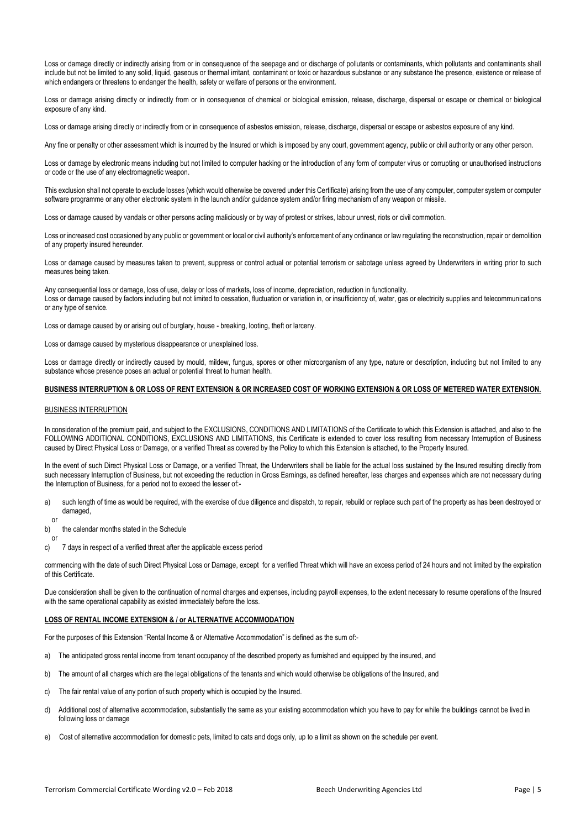Loss or damage directly or indirectly arising from or in consequence of the seepage and or discharge of pollutants or contaminants, which pollutants and contaminants shall include but not be limited to any solid, liquid, gaseous or thermal irritant, contaminant or toxic or hazardous substance or any substance the presence, existence or release of which endangers or threatens to endanger the health, safety or welfare of persons or the environment.

Loss or damage arising directly or indirectly from or in consequence of chemical or biological emission, release, discharge, dispersal or escape or chemical or biological exposure of any kind.

Loss or damage arising directly or indirectly from or in consequence of asbestos emission, release, discharge, dispersal or escape or asbestos exposure of any kind.

Any fine or penalty or other assessment which is incurred by the Insured or which is imposed by any court, government agency, public or civil authority or any other person.

Loss or damage by electronic means including but not limited to computer hacking or the introduction of any form of computer virus or corrupting or unauthorised instructions or code or the use of any electromagnetic weapon.

This exclusion shall not operate to exclude losses (which would otherwise be covered under this Certificate) arising from the use of any computer, computer system or computer software programme or any other electronic system in the launch and/or guidance system and/or firing mechanism of any weapon or missile.

Loss or damage caused by vandals or other persons acting maliciously or by way of protest or strikes, labour unrest, riots or civil commotion.

Loss or increased cost occasioned by any public or government or local or civil authority's enforcement of any ordinance or law regulating the reconstruction, repair or demolition of any property insured hereunder.

Loss or damage caused by measures taken to prevent, suppress or control actual or potential terrorism or sabotage unless agreed by Underwriters in writing prior to such measures being taken.

Any consequential loss or damage, loss of use, delay or loss of markets, loss of income, depreciation, reduction in functionality. Loss or damage caused by factors including but not limited to cessation, fluctuation or variation in, or insufficiency of, water, gas or electricity supplies and telecommunications or any type of service.

Loss or damage caused by or arising out of burglary, house - breaking, looting, theft or larceny.

Loss or damage caused by mysterious disappearance or unexplained loss.

Loss or damage directly or indirectly caused by mould, mildew, fungus, spores or other microorganism of any type, nature or description, including but not limited to any substance whose presence poses an actual or potential threat to human health.

#### **BUSINESS INTERRUPTION & OR LOSS OF RENT EXTENSION & OR INCREASED COST OF WORKING EXTENSION & OR LOSS OF METERED WATER EXTENSION.**

#### BUSINESS INTERRUPTION

In consideration of the premium paid, and subject to the EXCLUSIONS, CONDITIONS AND LIMITATIONS of the Certificate to which this Extension is attached, and also to the FOLLOWING ADDITIONAL CONDITIONS, EXCLUSIONS AND LIMITATIONS, this Certificate is extended to cover loss resulting from necessary Interruption of Business caused by Direct Physical Loss or Damage, or a verified Threat as covered by the Policy to which this Extension is attached, to the Property Insured.

In the event of such Direct Physical Loss or Damage, or a verified Threat, the Underwriters shall be liable for the actual loss sustained by the Insured resulting directly from such necessary Interruption of Business, but not exceeding the reduction in Gross Earnings, as defined hereafter, less charges and expenses which are not necessary during the Interruption of Business, for a period not to exceed the lesser of:-

- a) such length of time as would be required, with the exercise of due diligence and dispatch, to repair, rebuild or replace such part of the property as has been destroyed or damaged.
- or
- b) the calendar months stated in the Schedule
- or c) 7 days in respect of a verified threat after the applicable excess period

commencing with the date of such Direct Physical Loss or Damage, except for a verified Threat which will have an excess period of 24 hours and not limited by the expiration of this Certificate.

Due consideration shall be given to the continuation of normal charges and expenses, including payroll expenses, to the extent necessary to resume operations of the Insured with the same operational capability as existed immediately before the loss.

## **LOSS OF RENTAL INCOME EXTENSION & / or ALTERNATIVE ACCOMMODATION**

For the purposes of this Extension "Rental Income & or Alternative Accommodation" is defined as the sum of:-

- a) The anticipated gross rental income from tenant occupancy of the described property as furnished and equipped by the insured, and
- b) The amount of all charges which are the legal obligations of the tenants and which would otherwise be obligations of the Insured, and
- c) The fair rental value of any portion of such property which is occupied by the Insured.
- d) Additional cost of alternative accommodation, substantially the same as your existing accommodation which you have to pay for while the buildings cannot be lived in following loss or damage
- e) Cost of alternative accommodation for domestic pets, limited to cats and dogs only, up to a limit as shown on the schedule per event.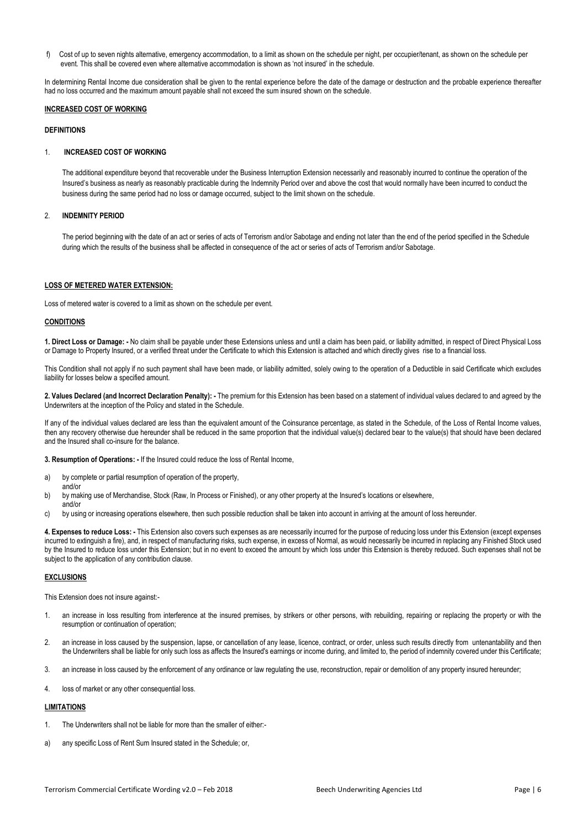f) Cost of up to seven nights alternative, emergency accommodation, to a limit as shown on the schedule per night, per occupier/tenant, as shown on the schedule per event. This shall be covered even where alternative accommodation is shown as 'not insured' in the schedule.

In determining Rental Income due consideration shall be given to the rental experience before the date of the damage or destruction and the probable experience thereafter had no loss occurred and the maximum amount payable shall not exceed the sum insured shown on the schedule.

#### **INCREASED COST OF WORKING**

#### **DEFINITIONS**

### 1. **INCREASED COST OF WORKING**

The additional expenditure beyond that recoverable under the Business Interruption Extension necessarily and reasonably incurred to continue the operation of the Insured's business as nearly as reasonably practicable during the Indemnity Period over and above the cost that would normally have been incurred to conduct the business during the same period had no loss or damage occurred, subject to the limit shown on the schedule.

## 2. **INDEMNITY PERIOD**

The period beginning with the date of an act or series of acts of Terrorism and/or Sabotage and ending not later than the end of the period specified in the Schedule during which the results of the business shall be affected in consequence of the act or series of acts of Terrorism and/or Sabotage.

## **LOSS OF METERED WATER EXTENSION:**

Loss of metered water is covered to a limit as shown on the schedule per event.

## **CONDITIONS**

**1. Direct Loss or Damage: -** No claim shall be payable under these Extensions unless and until a claim has been paid, or liability admitted, in respect of Direct Physical Loss or Damage to Property Insured, or a verified threat under the Certificate to which this Extension is attached and which directly gives rise to a financial loss.

This Condition shall not apply if no such payment shall have been made, or liability admitted, solely owing to the operation of a Deductible in said Certificate which excludes liability for losses below a specified amount.

**2. Values Declared (and Incorrect Declaration Penalty): -** The premium for this Extension has been based on a statement of individual values declared to and agreed by the Underwriters at the inception of the Policy and stated in the Schedule.

If any of the individual values declared are less than the equivalent amount of the Coinsurance percentage, as stated in the Schedule, of the Loss of Rental Income values, then any recovery otherwise due hereunder shall be reduced in the same proportion that the individual value(s) declared bear to the value(s) that should have been declared and the Insured shall co-insure for the balance.

**3. Resumption of Operations: -** If the Insured could reduce the loss of Rental Income,

- a) by complete or partial resumption of operation of the property,
- and/or b) by making use of Merchandise, Stock (Raw, In Process or Finished), or any other property at the Insured's locations or elsewhere,
- and/or
- c) by using or increasing operations elsewhere, then such possible reduction shall be taken into account in arriving at the amount of loss hereunder.

**4. Expenses to reduce Loss: -** This Extension also covers such expenses as are necessarily incurred for the purpose of reducing loss under this Extension (except expenses incurred to extinguish a fire), and, in respect of manufacturing risks, such expense, in excess of Normal, as would necessarily be incurred in replacing any Finished Stock used by the Insured to reduce loss under this Extension; but in no event to exceed the amount by which loss under this Extension is thereby reduced. Such expenses shall not be subject to the application of any contribution clause.

## **EXCLUSIONS**

This Extension does not insure against:-

- 1. an increase in loss resulting from interference at the insured premises, by strikers or other persons, with rebuilding, repairing or replacing the property or with the resumption or continuation of operation;
- 2. an increase in loss caused by the suspension, lapse, or cancellation of any lease, licence, contract, or order, unless such results directly from untenantability and then the Underwriters shall be liable for only such loss as affects the Insured's earnings or income during, and limited to, the period of indemnity covered under this Certificate;
- 3. an increase in loss caused by the enforcement of any ordinance or law regulating the use, reconstruction, repair or demolition of any property insured hereunder;
- 4. loss of market or any other consequential loss.

## **LIMITATIONS**

- 1. The Underwriters shall not be liable for more than the smaller of either:-
- a) any specific Loss of Rent Sum Insured stated in the Schedule; or,